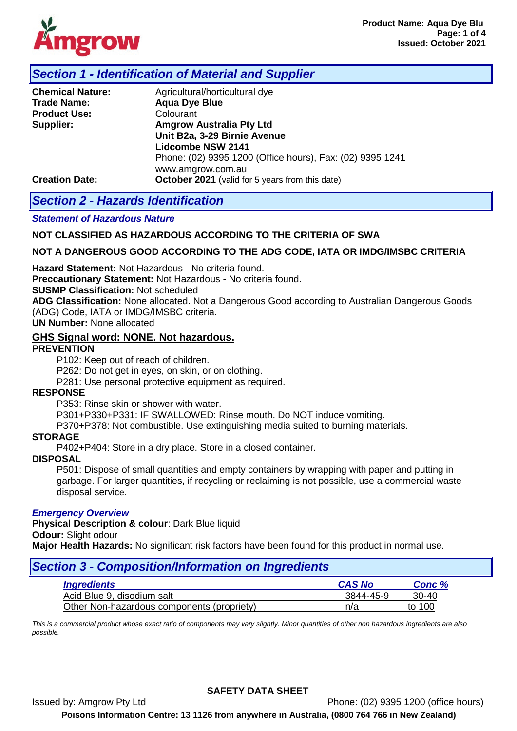

# *Section 1 - Identification of Material and Supplier*

| <b>Chemical Nature:</b> | Agricultural/horticultural dye                            |  |  |  |
|-------------------------|-----------------------------------------------------------|--|--|--|
| <b>Trade Name:</b>      | <b>Aqua Dye Blue</b>                                      |  |  |  |
| <b>Product Use:</b>     | Colourant                                                 |  |  |  |
| Supplier:               | <b>Amgrow Australia Pty Ltd</b>                           |  |  |  |
|                         | Unit B2a, 3-29 Birnie Avenue                              |  |  |  |
|                         | <b>Lidcombe NSW 2141</b>                                  |  |  |  |
|                         | Phone: (02) 9395 1200 (Office hours), Fax: (02) 9395 1241 |  |  |  |
|                         | www.amgrow.com.au                                         |  |  |  |
| <b>Creation Date:</b>   | October 2021 (valid for 5 years from this date)           |  |  |  |

# *Section 2 - Hazards Identification*

## *Statement of Hazardous Nature*

## **NOT CLASSIFIED AS HAZARDOUS ACCORDING TO THE CRITERIA OF SWA**

## **NOT A DANGEROUS GOOD ACCORDING TO THE ADG CODE, IATA OR IMDG/IMSBC CRITERIA**

**Hazard Statement:** Not Hazardous - No criteria found.

**Preccautionary Statement:** Not Hazardous - No criteria found.

**SUSMP Classification:** Not scheduled

**ADG Classification:** None allocated. Not a Dangerous Good according to Australian Dangerous Goods (ADG) Code, IATA or IMDG/IMSBC criteria.

**UN Number:** None allocated

## **GHS Signal word: NONE. Not hazardous.**

## **PREVENTION**

P102: Keep out of reach of children.

P262: Do not get in eyes, on skin, or on clothing.

P281: Use personal protective equipment as required.

### **RESPONSE**

P353: Rinse skin or shower with water.

P301+P330+P331: IF SWALLOWED: Rinse mouth. Do NOT induce vomiting.

P370+P378: Not combustible. Use extinguishing media suited to burning materials.

### **STORAGE**

P402+P404: Store in a dry place. Store in a closed container.

### **DISPOSAL**

P501: Dispose of small quantities and empty containers by wrapping with paper and putting in garbage. For larger quantities, if recycling or reclaiming is not possible, use a commercial waste disposal service.

### *Emergency Overview*

**Physical Description & colour**: Dark Blue liquid **Odour:** Slight odour

**Major Health Hazards:** No significant risk factors have been found for this product in normal use.

## *Section 3 - Composition/Information on Ingredients*

| <i><b>Ingredients</b></i>                  | <b>CAS No</b> | Conc %  |
|--------------------------------------------|---------------|---------|
| Acid Blue 9, disodium salt                 | 3844-45-9     | $30-40$ |
| Other Non-hazardous components (propriety) | n/a           | to 100  |

*This is a commercial product whose exact ratio of components may vary slightly. Minor quantities of other non hazardous ingredients are also possible.*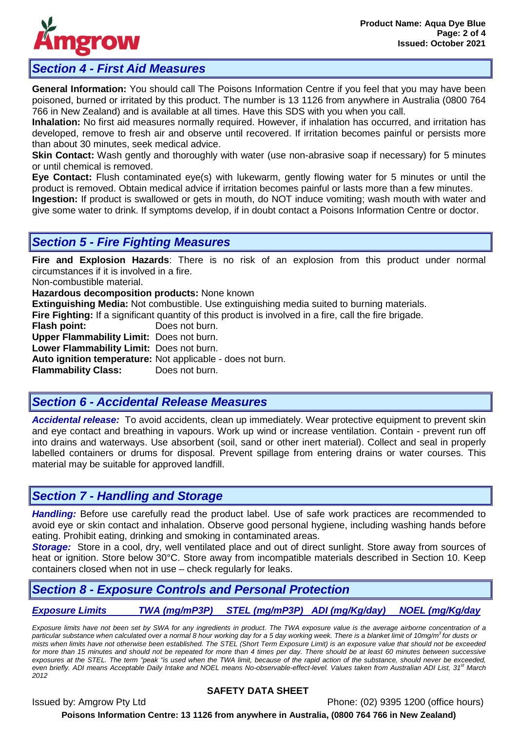

# *Section 4 - First Aid Measures*

**General Information:** You should call The Poisons Information Centre if you feel that you may have been poisoned, burned or irritated by this product. The number is 13 1126 from anywhere in Australia (0800 764 766 in New Zealand) and is available at all times. Have this SDS with you when you call.

**Inhalation:** No first aid measures normally required. However, if inhalation has occurred, and irritation has developed, remove to fresh air and observe until recovered. If irritation becomes painful or persists more than about 30 minutes, seek medical advice.

**Skin Contact:** Wash gently and thoroughly with water (use non-abrasive soap if necessary) for 5 minutes or until chemical is removed.

**Eye Contact:** Flush contaminated eye(s) with lukewarm, gently flowing water for 5 minutes or until the product is removed. Obtain medical advice if irritation becomes painful or lasts more than a few minutes.

**Ingestion:** If product is swallowed or gets in mouth, do NOT induce vomiting; wash mouth with water and give some water to drink. If symptoms develop, if in doubt contact a Poisons Information Centre or doctor.

# *Section 5 - Fire Fighting Measures*

**Fire and Explosion Hazards**: There is no risk of an explosion from this product under normal circumstances if it is involved in a fire.

Non-combustible material.

**Hazardous decomposition products:** None known

**Extinguishing Media:** Not combustible. Use extinguishing media suited to burning materials.

**Fire Fighting:** If a significant quantity of this product is involved in a fire, call the fire brigade.

**Flash point:** Does not burn.

**Upper Flammability Limit:** Does not burn.

**Lower Flammability Limit:** Does not burn.

**Auto ignition temperature:** Not applicable - does not burn.

**Flammability Class:** Does not burn.

# *Section 6 - Accidental Release Measures*

*Accidental release:* To avoid accidents, clean up immediately. Wear protective equipment to prevent skin and eye contact and breathing in vapours. Work up wind or increase ventilation. Contain - prevent run off into drains and waterways. Use absorbent (soil, sand or other inert material). Collect and seal in properly labelled containers or drums for disposal. Prevent spillage from entering drains or water courses. This material may be suitable for approved landfill.

# *Section 7 - Handling and Storage*

*Handling:* Before use carefully read the product label. Use of safe work practices are recommended to avoid eye or skin contact and inhalation. Observe good personal hygiene, including washing hands before eating. Prohibit eating, drinking and smoking in contaminated areas.

**Storage:** Store in a cool, dry, well ventilated place and out of direct sunlight. Store away from sources of heat or ignition. Store below 30°C. Store away from incompatible materials described in Section 10. Keep containers closed when not in use – check regularly for leaks.

# *Section 8 - Exposure Controls and Personal Protection*

## *Exposure Limits TWA (mg/mP3P) STEL (mg/mP3P) ADI (mg/Kg/day) NOEL (mg/Kg/day*

*Exposure limits have not been set by SWA for any ingredients in product. The TWA exposure value is the average airborne concentration of a particular substance when calculated over a normal 8 hour working day for a 5 day working week. There is a blanket limit of 10mg/m3 for dusts or mists when limits have not otherwise been established. The STEL (Short Term Exposure Limit) is an exposure value that should not be exceeded for more than 15 minutes and should not be repeated for more than 4 times per day. There should be at least 60 minutes between successive* exposures at the STEL. The term "peak "is used when the TWA limit, because of the rapid action of the substance, should never be exceeded, *even briefly. ADI means Acceptable Daily Intake and NOEL means No-observable-effect-level. Values taken from Australian ADI List, 31st March 2012*

## **SAFETY DATA SHEET**

Issued by: Amgrow Pty Ltd Phone: (02) 9395 1200 (office hours) **Poisons Information Centre: 13 1126 from anywhere in Australia, (0800 764 766 in New Zealand)**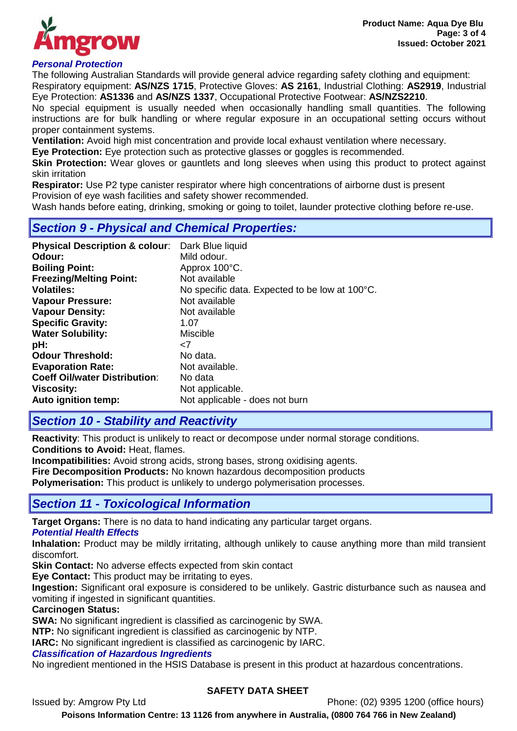

## *Personal Protection*

The following Australian Standards will provide general advice regarding safety clothing and equipment: Respiratory equipment: **AS/NZS 1715**, Protective Gloves: **AS 2161**, Industrial Clothing: **AS2919**, Industrial

Eye Protection: **AS1336** and **AS/NZS 1337**, Occupational Protective Footwear: **AS/NZS2210**. No special equipment is usually needed when occasionally handling small quantities. The following instructions are for bulk handling or where regular exposure in an occupational setting occurs without

proper containment systems. **Ventilation:** Avoid high mist concentration and provide local exhaust ventilation where necessary.

**Eye Protection:** Eye protection such as protective glasses or goggles is recommended.

**Skin Protection:** Wear gloves or gauntlets and long sleeves when using this product to protect against skin irritation

**Respirator:** Use P2 type canister respirator where high concentrations of airborne dust is present Provision of eye wash facilities and safety shower recommended.

Wash hands before eating, drinking, smoking or going to toilet, launder protective clothing before re-use.

# *Section 9 - Physical and Chemical Properties:*

| <b>Vapour Density:</b><br>Not available<br><b>Specific Gravity:</b><br>1.07<br><b>Water Solubility:</b><br><b>Miscible</b><br>pH:<br>$\epsilon$ 7<br><b>Odour Threshold:</b><br>No data.<br><b>Evaporation Rate:</b><br>Not available.<br><b>Coeff Oil/water Distribution:</b><br>No data<br><b>Viscosity:</b><br>Not applicable.<br>Auto ignition temp:<br>Not applicable - does not burn | <b>Physical Description &amp; colour:</b><br>Odour:<br><b>Boiling Point:</b><br><b>Freezing/Melting Point:</b><br><b>Volatiles:</b><br><b>Vapour Pressure:</b> | Dark Blue liquid<br>Mild odour.<br>Approx 100°C.<br>Not available<br>No specific data. Expected to be low at 100°C.<br>Not available |
|--------------------------------------------------------------------------------------------------------------------------------------------------------------------------------------------------------------------------------------------------------------------------------------------------------------------------------------------------------------------------------------------|----------------------------------------------------------------------------------------------------------------------------------------------------------------|--------------------------------------------------------------------------------------------------------------------------------------|
|--------------------------------------------------------------------------------------------------------------------------------------------------------------------------------------------------------------------------------------------------------------------------------------------------------------------------------------------------------------------------------------------|----------------------------------------------------------------------------------------------------------------------------------------------------------------|--------------------------------------------------------------------------------------------------------------------------------------|

# *Section 10 - Stability and Reactivity*

**Reactivity**: This product is unlikely to react or decompose under normal storage conditions. **Conditions to Avoid:** Heat, flames.

**Incompatibilities:** Avoid strong acids, strong bases, strong oxidising agents.

**Fire Decomposition Products:** No known hazardous decomposition products

**Polymerisation:** This product is unlikely to undergo polymerisation processes.

# *Section 11 - Toxicological Information*

**Target Organs:** There is no data to hand indicating any particular target organs.

## *Potential Health Effects*

**Inhalation:** Product may be mildly irritating, although unlikely to cause anything more than mild transient discomfort.

**Skin Contact:** No adverse effects expected from skin contact

**Eye Contact:** This product may be irritating to eyes.

**Ingestion:** Significant oral exposure is considered to be unlikely. Gastric disturbance such as nausea and vomiting if ingested in significant quantities.

## **Carcinogen Status:**

**SWA:** No significant ingredient is classified as carcinogenic by SWA.

**NTP:** No significant ingredient is classified as carcinogenic by NTP.

**IARC:** No significant ingredient is classified as carcinogenic by IARC.

## *Classification of Hazardous Ingredients*

No ingredient mentioned in the HSIS Database is present in this product at hazardous concentrations.

## **SAFETY DATA SHEET**

Issued by: Amgrow Pty Ltd Phone: (02) 9395 1200 (office hours)

**Poisons Information Centre: 13 1126 from anywhere in Australia, (0800 764 766 in New Zealand)**